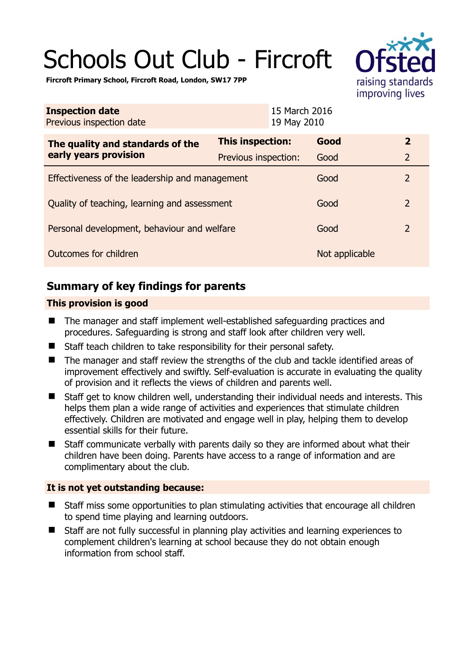# Schools Out Club - Fircroft



**Fircroft Primary School, Fircroft Road, London, SW17 7PP** 

| <b>Inspection date</b><br>Previous inspection date        | 15 March 2016<br>19 May 2010 |                |                |
|-----------------------------------------------------------|------------------------------|----------------|----------------|
| The quality and standards of the<br>early years provision | <b>This inspection:</b>      | Good           | $\overline{2}$ |
|                                                           | Previous inspection:         | Good           | $\overline{2}$ |
| Effectiveness of the leadership and management            |                              | Good           | $\overline{2}$ |
| Quality of teaching, learning and assessment              |                              | Good           | $\overline{2}$ |
| Personal development, behaviour and welfare               |                              | Good           | $\overline{2}$ |
| Outcomes for children                                     |                              | Not applicable |                |

## **Summary of key findings for parents**

### **This provision is good**

- The manager and staff implement well-established safeguarding practices and procedures. Safeguarding is strong and staff look after children very well.
- Staff teach children to take responsibility for their personal safety.
- The manager and staff review the strengths of the club and tackle identified areas of improvement effectively and swiftly. Self-evaluation is accurate in evaluating the quality of provision and it reflects the views of children and parents well.
- Staff get to know children well, understanding their individual needs and interests. This helps them plan a wide range of activities and experiences that stimulate children effectively. Children are motivated and engage well in play, helping them to develop essential skills for their future.
- Staff communicate verbally with parents daily so they are informed about what their children have been doing. Parents have access to a range of information and are complimentary about the club.

#### **It is not yet outstanding because:**

- Staff miss some opportunities to plan stimulating activities that encourage all children to spend time playing and learning outdoors.
- Staff are not fully successful in planning play activities and learning experiences to complement children's learning at school because they do not obtain enough information from school staff.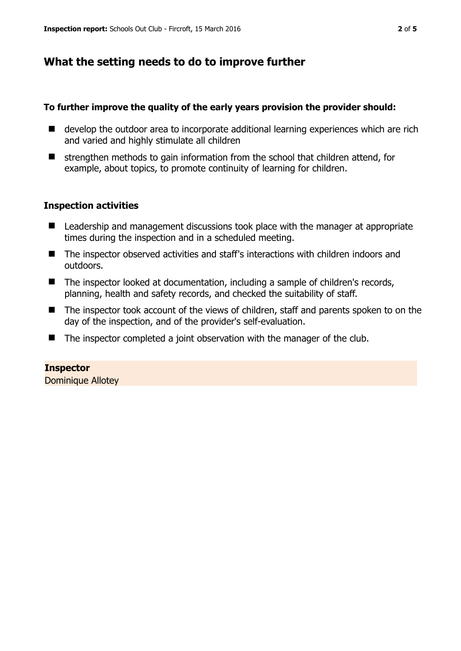## **What the setting needs to do to improve further**

#### **To further improve the quality of the early years provision the provider should:**

- develop the outdoor area to incorporate additional learning experiences which are rich and varied and highly stimulate all children
- $\blacksquare$  strengthen methods to gain information from the school that children attend, for example, about topics, to promote continuity of learning for children.

#### **Inspection activities**

- Leadership and management discussions took place with the manager at appropriate times during the inspection and in a scheduled meeting.
- The inspector observed activities and staff's interactions with children indoors and outdoors.
- The inspector looked at documentation, including a sample of children's records, planning, health and safety records, and checked the suitability of staff.
- The inspector took account of the views of children, staff and parents spoken to on the day of the inspection, and of the provider's self-evaluation.
- $\blacksquare$  The inspector completed a joint observation with the manager of the club.

**Inspector**  Dominique Allotey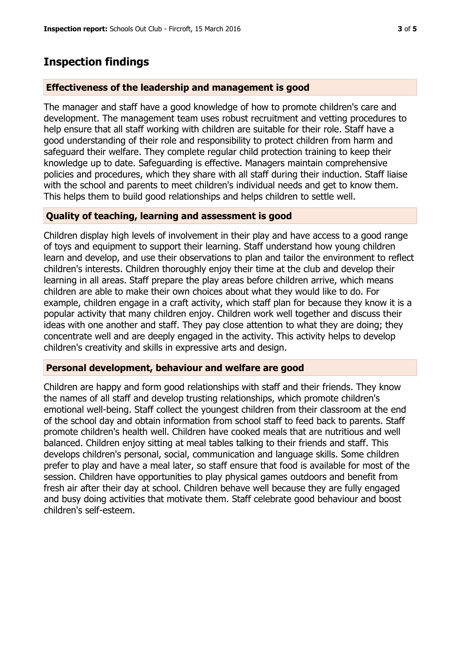## **Inspection findings**

#### **Effectiveness of the leadership and management is good**

The manager and staff have a good knowledge of how to promote children's care and development. The management team uses robust recruitment and vetting procedures to help ensure that all staff working with children are suitable for their role. Staff have a good understanding of their role and responsibility to protect children from harm and safeguard their welfare. They complete regular child protection training to keep their knowledge up to date. Safeguarding is effective. Managers maintain comprehensive policies and procedures, which they share with all staff during their induction. Staff liaise with the school and parents to meet children's individual needs and get to know them. This helps them to build good relationships and helps children to settle well.

#### **Quality of teaching, learning and assessment is good**

Children display high levels of involvement in their play and have access to a good range of toys and equipment to support their learning. Staff understand how young children learn and develop, and use their observations to plan and tailor the environment to reflect children's interests. Children thoroughly enjoy their time at the club and develop their learning in all areas. Staff prepare the play areas before children arrive, which means children are able to make their own choices about what they would like to do. For example, children engage in a craft activity, which staff plan for because they know it is a popular activity that many children enjoy. Children work well together and discuss their ideas with one another and staff. They pay close attention to what they are doing; they concentrate well and are deeply engaged in the activity. This activity helps to develop children's creativity and skills in expressive arts and design.

#### **Personal development, behaviour and welfare are good**

Children are happy and form good relationships with staff and their friends. They know the names of all staff and develop trusting relationships, which promote children's emotional well-being. Staff collect the youngest children from their classroom at the end of the school day and obtain information from school staff to feed back to parents. Staff promote children's health well. Children have cooked meals that are nutritious and well balanced. Children enjoy sitting at meal tables talking to their friends and staff. This develops children's personal, social, communication and language skills. Some children prefer to play and have a meal later, so staff ensure that food is available for most of the session. Children have opportunities to play physical games outdoors and benefit from fresh air after their day at school. Children behave well because they are fully engaged and busy doing activities that motivate them. Staff celebrate good behaviour and boost children's self-esteem.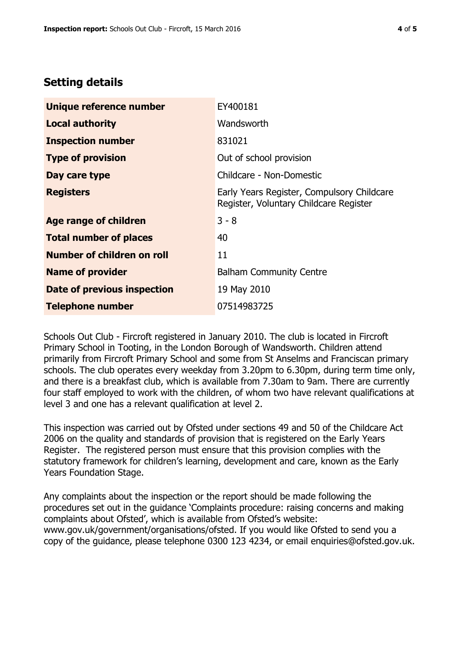## **Setting details**

| Unique reference number           | EY400181                                                                             |  |
|-----------------------------------|--------------------------------------------------------------------------------------|--|
| <b>Local authority</b>            | Wandsworth                                                                           |  |
| <b>Inspection number</b>          | 831021                                                                               |  |
| <b>Type of provision</b>          | Out of school provision                                                              |  |
| Day care type                     | Childcare - Non-Domestic                                                             |  |
| <b>Registers</b>                  | Early Years Register, Compulsory Childcare<br>Register, Voluntary Childcare Register |  |
| <b>Age range of children</b>      | $3 - 8$                                                                              |  |
| <b>Total number of places</b>     | 40                                                                                   |  |
| <b>Number of children on roll</b> | 11                                                                                   |  |
| <b>Name of provider</b>           | <b>Balham Community Centre</b>                                                       |  |
| Date of previous inspection       | 19 May 2010                                                                          |  |
| <b>Telephone number</b>           | 07514983725                                                                          |  |

Schools Out Club - Fircroft registered in January 2010. The club is located in Fircroft Primary School in Tooting, in the London Borough of Wandsworth. Children attend primarily from Fircroft Primary School and some from St Anselms and Franciscan primary schools. The club operates every weekday from 3.20pm to 6.30pm, during term time only, and there is a breakfast club, which is available from 7.30am to 9am. There are currently four staff employed to work with the children, of whom two have relevant qualifications at level 3 and one has a relevant qualification at level 2.

This inspection was carried out by Ofsted under sections 49 and 50 of the Childcare Act 2006 on the quality and standards of provision that is registered on the Early Years Register. The registered person must ensure that this provision complies with the statutory framework for children's learning, development and care, known as the Early Years Foundation Stage.

Any complaints about the inspection or the report should be made following the procedures set out in the guidance 'Complaints procedure: raising concerns and making complaints about Ofsted', which is available from Ofsted's website: www.gov.uk/government/organisations/ofsted. If you would like Ofsted to send you a copy of the guidance, please telephone 0300 123 4234, or email enquiries@ofsted.gov.uk.